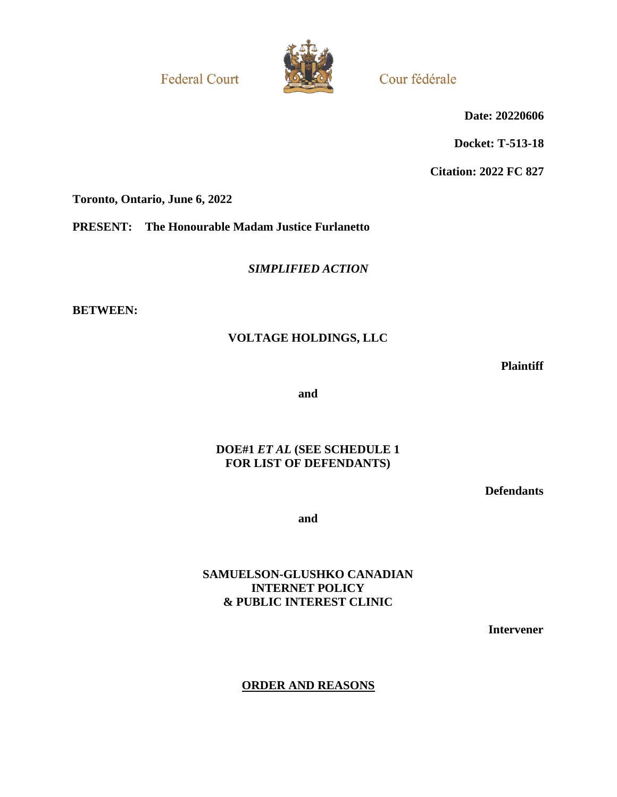**Federal Court** 



Cour fédérale

**Date: 20220606**

**Docket: T-513-18**

**Citation: 2022 FC 827**

**Toronto, Ontario, June 6, 2022**

**PRESENT: The Honourable Madam Justice Furlanetto**

*SIMPLIFIED ACTION*

**BETWEEN:**

# **VOLTAGE HOLDINGS, LLC**

**Plaintiff**

**and**

## **DOE#1** *ET AL* **(SEE SCHEDULE 1 FOR LIST OF DEFENDANTS)**

**Defendants**

**and**

## **SAMUELSON-GLUSHKO CANADIAN INTERNET POLICY & PUBLIC INTEREST CLINIC**

**Intervener**

**ORDER AND REASONS**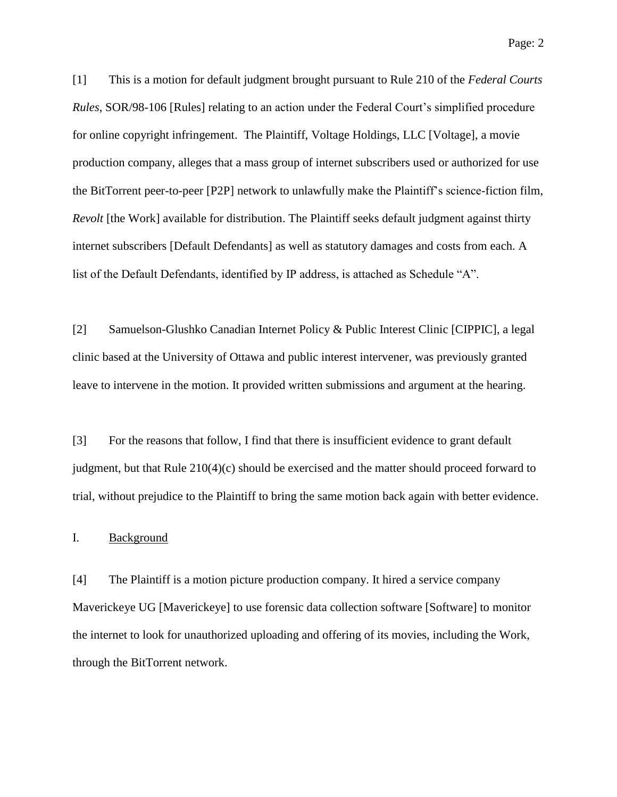[1] This is a motion for default judgment brought pursuant to Rule 210 of the *Federal Courts Rules*, SOR/98-106 [Rules] relating to an action under the Federal Court's simplified procedure for online copyright infringement. The Plaintiff, Voltage Holdings, LLC [Voltage], a movie production company, alleges that a mass group of internet subscribers used or authorized for use the BitTorrent peer-to-peer [P2P] network to unlawfully make the Plaintiff's science-fiction film, *Revolt* [the Work] available for distribution. The Plaintiff seeks default judgment against thirty internet subscribers [Default Defendants] as well as statutory damages and costs from each. A

list of the Default Defendants, identified by IP address, is attached as Schedule "A".

[2] Samuelson-Glushko Canadian Internet Policy & Public Interest Clinic [CIPPIC], a legal clinic based at the University of Ottawa and public interest intervener, was previously granted leave to intervene in the motion. It provided written submissions and argument at the hearing.

[3] For the reasons that follow, I find that there is insufficient evidence to grant default judgment, but that Rule 210(4)(c) should be exercised and the matter should proceed forward to trial, without prejudice to the Plaintiff to bring the same motion back again with better evidence.

#### I. Background

[4] The Plaintiff is a motion picture production company. It hired a service company Maverickeye UG [Maverickeye] to use forensic data collection software [Software] to monitor the internet to look for unauthorized uploading and offering of its movies, including the Work, through the BitTorrent network.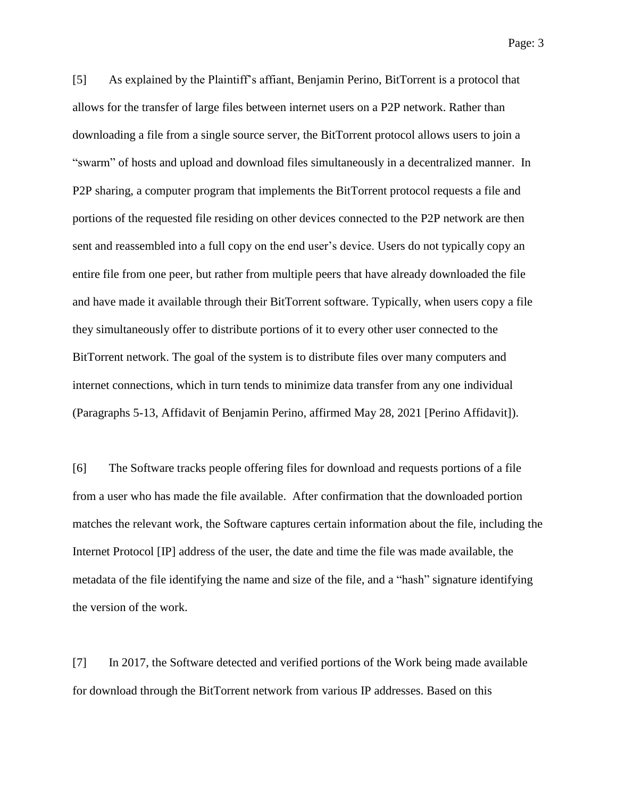[5] As explained by the Plaintiff's affiant, Benjamin Perino, BitTorrent is a protocol that allows for the transfer of large files between internet users on a P2P network. Rather than downloading a file from a single source server, the BitTorrent protocol allows users to join a "swarm" of hosts and upload and download files simultaneously in a decentralized manner. In P2P sharing, a computer program that implements the BitTorrent protocol requests a file and portions of the requested file residing on other devices connected to the P2P network are then sent and reassembled into a full copy on the end user's device. Users do not typically copy an entire file from one peer, but rather from multiple peers that have already downloaded the file and have made it available through their BitTorrent software. Typically, when users copy a file they simultaneously offer to distribute portions of it to every other user connected to the BitTorrent network. The goal of the system is to distribute files over many computers and internet connections, which in turn tends to minimize data transfer from any one individual (Paragraphs 5-13, Affidavit of Benjamin Perino, affirmed May 28, 2021 [Perino Affidavit]).

[6] The Software tracks people offering files for download and requests portions of a file from a user who has made the file available. After confirmation that the downloaded portion matches the relevant work, the Software captures certain information about the file, including the Internet Protocol [IP] address of the user, the date and time the file was made available, the metadata of the file identifying the name and size of the file, and a "hash" signature identifying the version of the work.

[7] In 2017, the Software detected and verified portions of the Work being made available for download through the BitTorrent network from various IP addresses. Based on this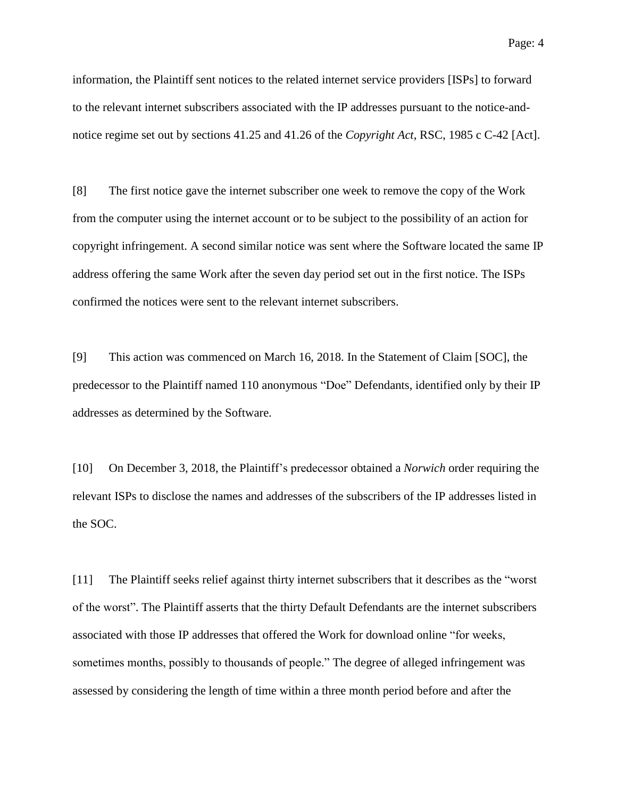information, the Plaintiff sent notices to the related internet service providers [ISPs] to forward to the relevant internet subscribers associated with the IP addresses pursuant to the notice-andnotice regime set out by sections 41.25 and 41.26 of the *Copyright Act*, RSC, 1985 c C-42 [Act].

[8] The first notice gave the internet subscriber one week to remove the copy of the Work from the computer using the internet account or to be subject to the possibility of an action for copyright infringement. A second similar notice was sent where the Software located the same IP address offering the same Work after the seven day period set out in the first notice. The ISPs confirmed the notices were sent to the relevant internet subscribers.

[9] This action was commenced on March 16, 2018. In the Statement of Claim [SOC], the predecessor to the Plaintiff named 110 anonymous "Doe" Defendants, identified only by their IP addresses as determined by the Software.

[10] On December 3, 2018, the Plaintiff's predecessor obtained a *Norwich* order requiring the relevant ISPs to disclose the names and addresses of the subscribers of the IP addresses listed in the SOC.

[11] The Plaintiff seeks relief against thirty internet subscribers that it describes as the "worst of the worst". The Plaintiff asserts that the thirty Default Defendants are the internet subscribers associated with those IP addresses that offered the Work for download online "for weeks, sometimes months, possibly to thousands of people." The degree of alleged infringement was assessed by considering the length of time within a three month period before and after the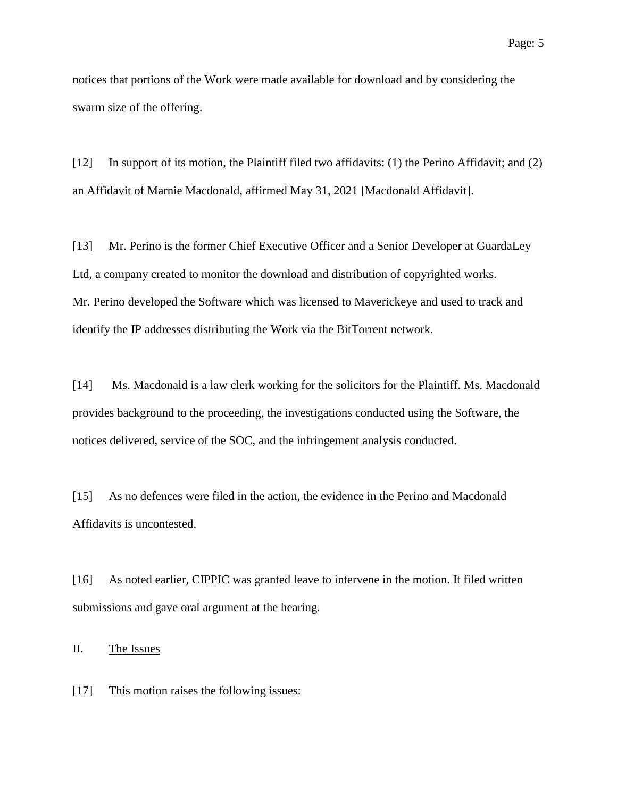notices that portions of the Work were made available for download and by considering the swarm size of the offering.

[12] In support of its motion, the Plaintiff filed two affidavits: (1) the Perino Affidavit; and (2) an Affidavit of Marnie Macdonald, affirmed May 31, 2021 [Macdonald Affidavit].

[13] Mr. Perino is the former Chief Executive Officer and a Senior Developer at GuardaLey Ltd, a company created to monitor the download and distribution of copyrighted works. Mr. Perino developed the Software which was licensed to Maverickeye and used to track and identify the IP addresses distributing the Work via the BitTorrent network.

[14] Ms. Macdonald is a law clerk working for the solicitors for the Plaintiff. Ms. Macdonald provides background to the proceeding, the investigations conducted using the Software, the notices delivered, service of the SOC, and the infringement analysis conducted.

[15] As no defences were filed in the action, the evidence in the Perino and Macdonald Affidavits is uncontested.

[16] As noted earlier, CIPPIC was granted leave to intervene in the motion. It filed written submissions and gave oral argument at the hearing.

II. The Issues

[17] This motion raises the following issues: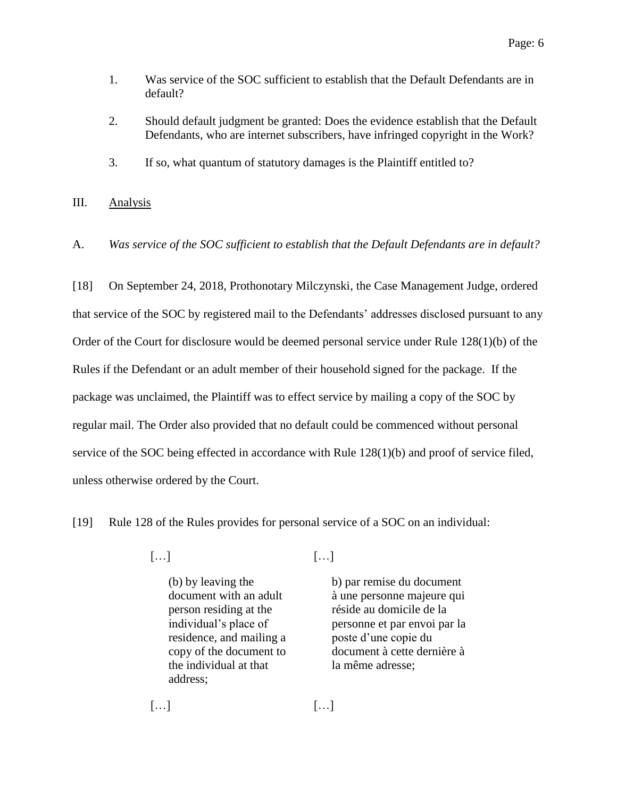- 1. Was service of the SOC sufficient to establish that the Default Defendants are in default?
- 2. Should default judgment be granted: Does the evidence establish that the Default Defendants, who are internet subscribers, have infringed copyright in the Work?
- 3. If so, what quantum of statutory damages is the Plaintiff entitled to?
- III. Analysis
- A. *Was service of the SOC sufficient to establish that the Default Defendants are in default?*

[18] On September 24, 2018, Prothonotary Milczynski, the Case Management Judge, ordered that service of the SOC by registered mail to the Defendants' addresses disclosed pursuant to any Order of the Court for disclosure would be deemed personal service under Rule 128(1)(b) of the Rules if the Defendant or an adult member of their household signed for the package. If the package was unclaimed, the Plaintiff was to effect service by mailing a copy of the SOC by regular mail. The Order also provided that no default could be commenced without personal service of the SOC being effected in accordance with Rule 128(1)(b) and proof of service filed, unless otherwise ordered by the Court.

[19] Rule 128 of the Rules provides for personal service of a SOC on an individual:

- 
- $\lbrack ... \rbrack$ 
	- (b) by leaving the document with an adult person residing at the individual's place of residence, and mailing a copy of the document to the individual at that address;

b) par remise du document à une personne majeure qui réside au domicile de la personne et par envoi par la poste d'une copie du document à cette dernière à la même adresse;

 $\lbrack ... \rbrack$   $\lbrack ... \rbrack$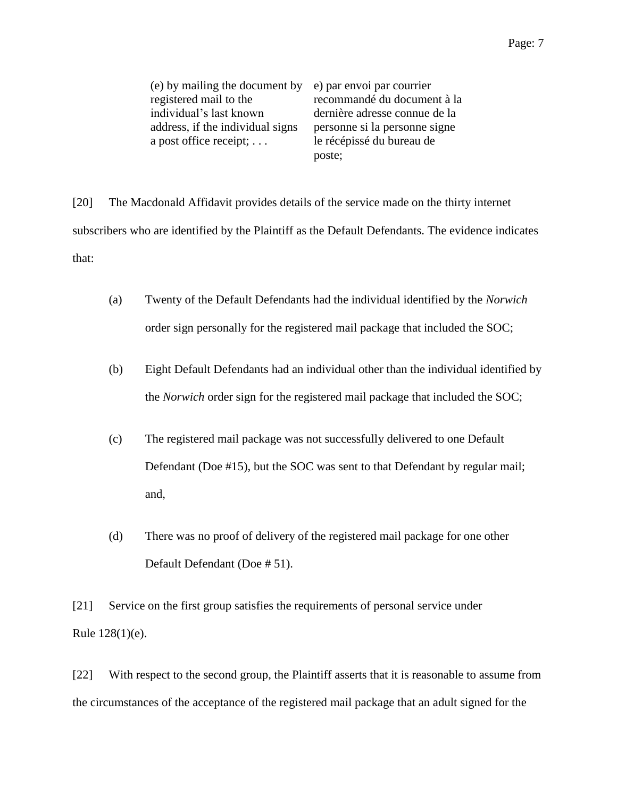| (e) by mailing the document by   | e) par envoi par courrier     |
|----------------------------------|-------------------------------|
| registered mail to the           | recommandé du document à la   |
| individual's last known          | dernière adresse connue de la |
| address, if the individual signs | personne si la personne signe |
| a post office receipt; $\dots$   | le récépissé du bureau de     |
|                                  | poste;                        |

[20] The Macdonald Affidavit provides details of the service made on the thirty internet subscribers who are identified by the Plaintiff as the Default Defendants. The evidence indicates that:

- (a) Twenty of the Default Defendants had the individual identified by the *Norwich* order sign personally for the registered mail package that included the SOC;
- (b) Eight Default Defendants had an individual other than the individual identified by the *Norwich* order sign for the registered mail package that included the SOC;
- (c) The registered mail package was not successfully delivered to one Default Defendant (Doe #15), but the SOC was sent to that Defendant by regular mail; and,
- (d) There was no proof of delivery of the registered mail package for one other Default Defendant (Doe # 51).

[21] Service on the first group satisfies the requirements of personal service under Rule 128(1)(e).

[22] With respect to the second group, the Plaintiff asserts that it is reasonable to assume from the circumstances of the acceptance of the registered mail package that an adult signed for the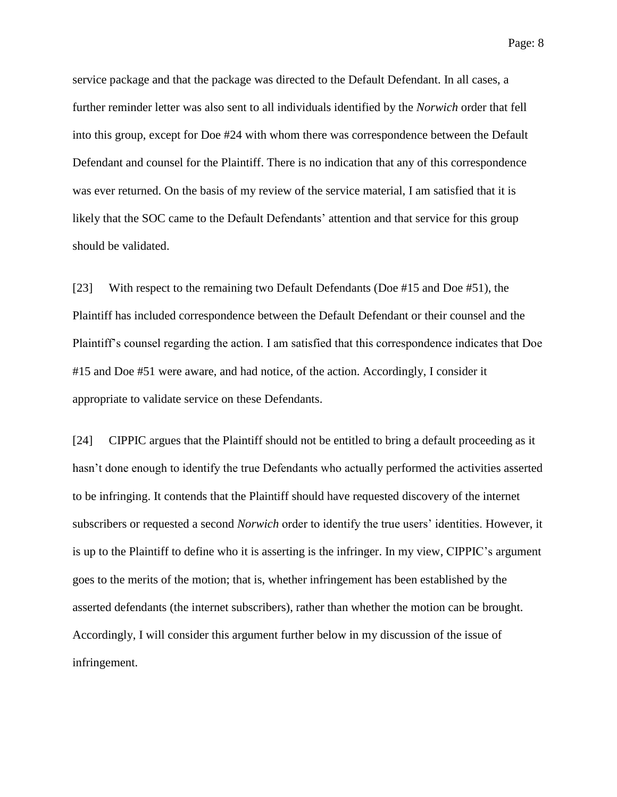Page: 8

service package and that the package was directed to the Default Defendant. In all cases, a further reminder letter was also sent to all individuals identified by the *Norwich* order that fell into this group, except for Doe #24 with whom there was correspondence between the Default Defendant and counsel for the Plaintiff. There is no indication that any of this correspondence was ever returned. On the basis of my review of the service material, I am satisfied that it is likely that the SOC came to the Default Defendants' attention and that service for this group should be validated.

[23] With respect to the remaining two Default Defendants (Doe #15 and Doe #51), the Plaintiff has included correspondence between the Default Defendant or their counsel and the Plaintiff's counsel regarding the action. I am satisfied that this correspondence indicates that Doe #15 and Doe #51 were aware, and had notice, of the action. Accordingly, I consider it appropriate to validate service on these Defendants.

[24] CIPPIC argues that the Plaintiff should not be entitled to bring a default proceeding as it hasn't done enough to identify the true Defendants who actually performed the activities asserted to be infringing. It contends that the Plaintiff should have requested discovery of the internet subscribers or requested a second *Norwich* order to identify the true users' identities. However, it is up to the Plaintiff to define who it is asserting is the infringer. In my view, CIPPIC's argument goes to the merits of the motion; that is, whether infringement has been established by the asserted defendants (the internet subscribers), rather than whether the motion can be brought. Accordingly, I will consider this argument further below in my discussion of the issue of infringement.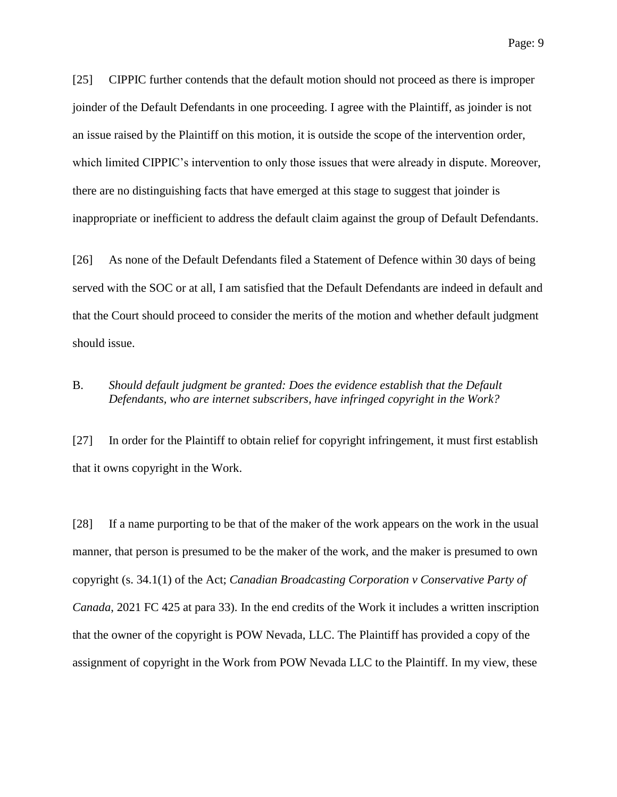[25] CIPPIC further contends that the default motion should not proceed as there is improper joinder of the Default Defendants in one proceeding. I agree with the Plaintiff, as joinder is not an issue raised by the Plaintiff on this motion, it is outside the scope of the intervention order, which limited CIPPIC's intervention to only those issues that were already in dispute. Moreover, there are no distinguishing facts that have emerged at this stage to suggest that joinder is inappropriate or inefficient to address the default claim against the group of Default Defendants.

[26] As none of the Default Defendants filed a Statement of Defence within 30 days of being served with the SOC or at all, I am satisfied that the Default Defendants are indeed in default and that the Court should proceed to consider the merits of the motion and whether default judgment should issue.

## B. *Should default judgment be granted: Does the evidence establish that the Default Defendants, who are internet subscribers, have infringed copyright in the Work?*

[27] In order for the Plaintiff to obtain relief for copyright infringement, it must first establish that it owns copyright in the Work.

[28] If a name purporting to be that of the maker of the work appears on the work in the usual manner, that person is presumed to be the maker of the work, and the maker is presumed to own copyright (s. 34.1(1) of the Act; *Canadian Broadcasting Corporation v Conservative Party of Canada*, 2021 FC 425 at para 33). In the end credits of the Work it includes a written inscription that the owner of the copyright is POW Nevada, LLC. The Plaintiff has provided a copy of the assignment of copyright in the Work from POW Nevada LLC to the Plaintiff. In my view, these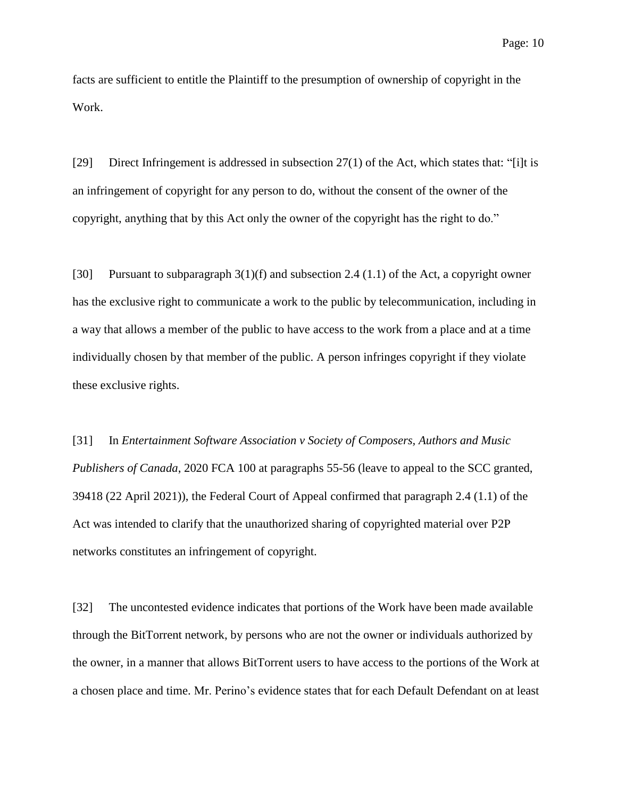facts are sufficient to entitle the Plaintiff to the presumption of ownership of copyright in the Work.

[29] Direct Infringement is addressed in subsection 27(1) of the Act, which states that: "[i]t is an infringement of copyright for any person to do, without the consent of the owner of the copyright, anything that by this Act only the owner of the copyright has the right to do."

[30] Pursuant to subparagraph 3(1)(f) and subsection 2.4 (1.1) of the Act, a copyright owner has the exclusive right to communicate a work to the public by telecommunication, including in a way that allows a member of the public to have access to the work from a place and at a time individually chosen by that member of the public. A person infringes copyright if they violate these exclusive rights.

[31] In *Entertainment Software Association v Society of Composers, Authors and Music Publishers of Canada*, 2020 FCA 100 at paragraphs 55-56 (leave to appeal to the SCC granted, 39418 (22 April 2021)), the Federal Court of Appeal confirmed that paragraph 2.4 (1.1) of the Act was intended to clarify that the unauthorized sharing of copyrighted material over P2P networks constitutes an infringement of copyright.

[32] The uncontested evidence indicates that portions of the Work have been made available through the BitTorrent network, by persons who are not the owner or individuals authorized by the owner, in a manner that allows BitTorrent users to have access to the portions of the Work at a chosen place and time. Mr. Perino's evidence states that for each Default Defendant on at least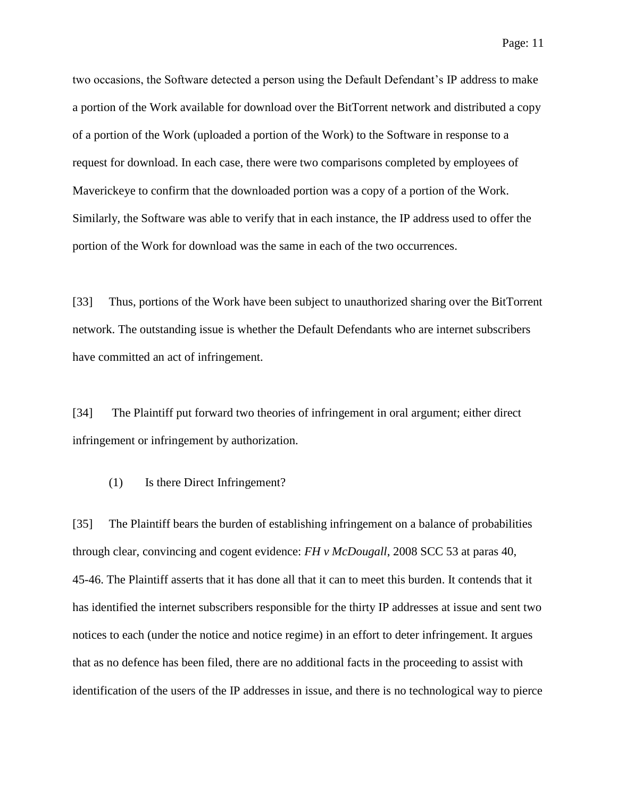two occasions, the Software detected a person using the Default Defendant's IP address to make a portion of the Work available for download over the BitTorrent network and distributed a copy of a portion of the Work (uploaded a portion of the Work) to the Software in response to a request for download. In each case, there were two comparisons completed by employees of Maverickeye to confirm that the downloaded portion was a copy of a portion of the Work. Similarly, the Software was able to verify that in each instance, the IP address used to offer the portion of the Work for download was the same in each of the two occurrences.

[33] Thus, portions of the Work have been subject to unauthorized sharing over the BitTorrent network. The outstanding issue is whether the Default Defendants who are internet subscribers have committed an act of infringement.

[34] The Plaintiff put forward two theories of infringement in oral argument; either direct infringement or infringement by authorization.

(1) Is there Direct Infringement?

[35] The Plaintiff bears the burden of establishing infringement on a balance of probabilities through clear, convincing and cogent evidence: *FH v McDougall*, 2008 SCC 53 at paras 40, 45-46. The Plaintiff asserts that it has done all that it can to meet this burden. It contends that it has identified the internet subscribers responsible for the thirty IP addresses at issue and sent two notices to each (under the notice and notice regime) in an effort to deter infringement. It argues that as no defence has been filed, there are no additional facts in the proceeding to assist with identification of the users of the IP addresses in issue, and there is no technological way to pierce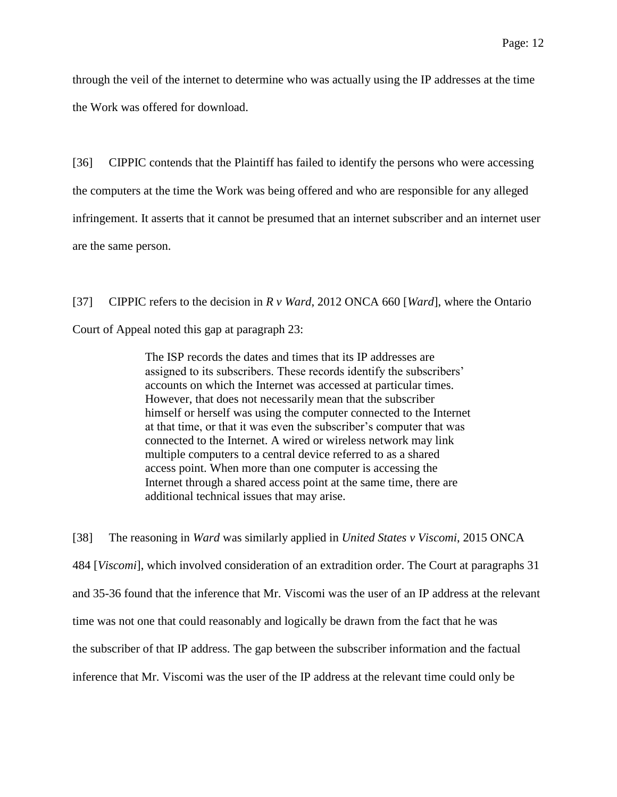through the veil of the internet to determine who was actually using the IP addresses at the time the Work was offered for download.

[36] CIPPIC contends that the Plaintiff has failed to identify the persons who were accessing the computers at the time the Work was being offered and who are responsible for any alleged infringement. It asserts that it cannot be presumed that an internet subscriber and an internet user are the same person.

[37] CIPPIC refers to the decision in *R v Ward*, 2012 ONCA 660 [*Ward*], where the Ontario Court of Appeal noted this gap at paragraph 23:

> The ISP records the dates and times that its IP addresses are assigned to its subscribers. These records identify the subscribers' accounts on which the Internet was accessed at particular times. However, that does not necessarily mean that the subscriber himself or herself was using the computer connected to the Internet at that time, or that it was even the subscriber's computer that was connected to the Internet. A wired or wireless network may link multiple computers to a central device referred to as a shared access point. When more than one computer is accessing the Internet through a shared access point at the same time, there are additional technical issues that may arise.

[38] The reasoning in *Ward* was similarly applied in *United States v Viscomi*, 2015 ONCA 484 [*Viscomi*], which involved consideration of an extradition order. The Court at paragraphs 31 and 35-36 found that the inference that Mr. Viscomi was the user of an IP address at the relevant time was not one that could reasonably and logically be drawn from the fact that he was the subscriber of that IP address. The gap between the subscriber information and the factual inference that Mr. Viscomi was the user of the IP address at the relevant time could only be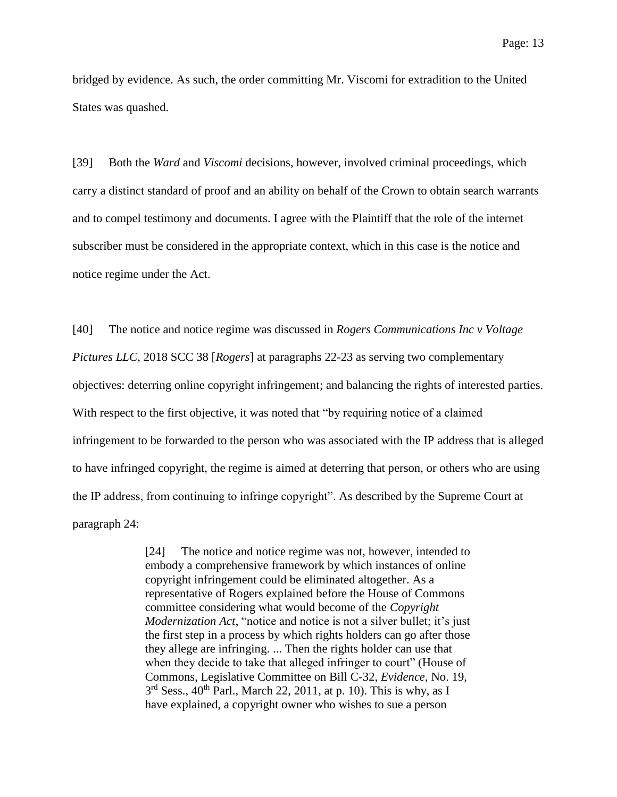bridged by evidence. As such, the order committing Mr. Viscomi for extradition to the United States was quashed.

[39] Both the *Ward* and *Viscomi* decisions, however, involved criminal proceedings, which carry a distinct standard of proof and an ability on behalf of the Crown to obtain search warrants and to compel testimony and documents. I agree with the Plaintiff that the role of the internet subscriber must be considered in the appropriate context, which in this case is the notice and notice regime under the Act.

[40] The notice and notice regime was discussed in *Rogers Communications Inc v Voltage Pictures LLC*, 2018 SCC 38 [*Rogers*] at paragraphs 22-23 as serving two complementary objectives: deterring online copyright infringement; and balancing the rights of interested parties. With respect to the first objective, it was noted that "by requiring notice of a claimed infringement to be forwarded to the person who was associated with the IP address that is alleged to have infringed copyright, the regime is aimed at deterring that person, or others who are using the IP address, from continuing to infringe copyright". As described by the Supreme Court at paragraph 24:

> [24] The notice and notice regime was not, however, intended to embody a comprehensive framework by which instances of online copyright infringement could be eliminated altogether. As a representative of Rogers explained before the House of Commons committee considering what would become of the *Copyright Modernization Act*, "notice and notice is not a silver bullet; it's just the first step in a process by which rights holders can go after those they allege are infringing. ... Then the rights holder can use that when they decide to take that alleged infringer to court" (House of Commons, Legislative Committee on Bill C-32, *Evidence*, No. 19,  $3<sup>rd</sup>$  Sess., 40<sup>th</sup> Parl., March 22, 2011, at p. 10). This is why, as I have explained, a copyright owner who wishes to sue a person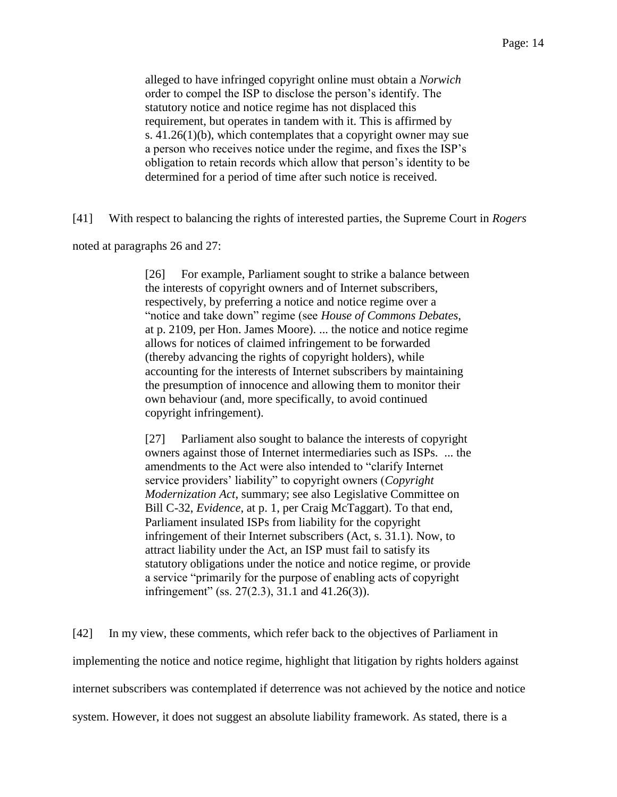alleged to have infringed copyright online must obtain a *Norwich* order to compel the ISP to disclose the person's identify. The statutory notice and notice regime has not displaced this requirement, but operates in tandem with it. This is affirmed by s. 41.26(1)(b), which contemplates that a copyright owner may sue a person who receives notice under the regime, and fixes the ISP's obligation to retain records which allow that person's identity to be determined for a period of time after such notice is received.

[41] With respect to balancing the rights of interested parties, the Supreme Court in *Rogers* 

noted at paragraphs 26 and 27:

[26] For example, Parliament sought to strike a balance between the interests of copyright owners and of Internet subscribers, respectively, by preferring a notice and notice regime over a "notice and take down" regime (see *House of Commons Debates*, at p. 2109, per Hon. James Moore). ... the notice and notice regime allows for notices of claimed infringement to be forwarded (thereby advancing the rights of copyright holders), while accounting for the interests of Internet subscribers by maintaining the presumption of innocence and allowing them to monitor their own behaviour (and, more specifically, to avoid continued copyright infringement).

[27] Parliament also sought to balance the interests of copyright owners against those of Internet intermediaries such as ISPs. ... the amendments to the Act were also intended to "clarify Internet service providers' liability" to copyright owners (*Copyright Modernization Act*, summary; see also Legislative Committee on Bill C-32, *Evidence*, at p. 1, per Craig McTaggart). To that end, Parliament insulated ISPs from liability for the copyright infringement of their Internet subscribers (Act, s. 31.1). Now, to attract liability under the Act, an ISP must fail to satisfy its statutory obligations under the notice and notice regime, or provide a service "primarily for the purpose of enabling acts of copyright infringement" (ss. 27(2.3), 31.1 and 41.26(3)).

[42] In my view, these comments, which refer back to the objectives of Parliament in implementing the notice and notice regime, highlight that litigation by rights holders against internet subscribers was contemplated if deterrence was not achieved by the notice and notice system. However, it does not suggest an absolute liability framework. As stated, there is a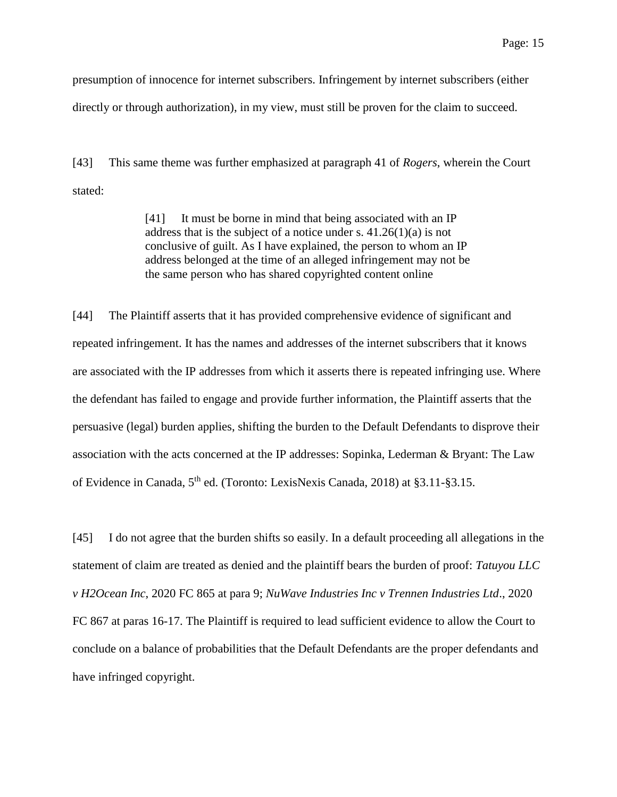presumption of innocence for internet subscribers. Infringement by internet subscribers (either directly or through authorization), in my view, must still be proven for the claim to succeed.

[43] This same theme was further emphasized at paragraph 41 of *Rogers*, wherein the Court stated:

> [41] It must be borne in mind that being associated with an IP address that is the subject of a notice under s.  $41.26(1)(a)$  is not conclusive of guilt. As I have explained, the person to whom an IP address belonged at the time of an alleged infringement may not be the same person who has shared copyrighted content online

[44] The Plaintiff asserts that it has provided comprehensive evidence of significant and repeated infringement. It has the names and addresses of the internet subscribers that it knows are associated with the IP addresses from which it asserts there is repeated infringing use. Where the defendant has failed to engage and provide further information, the Plaintiff asserts that the persuasive (legal) burden applies, shifting the burden to the Default Defendants to disprove their association with the acts concerned at the IP addresses: Sopinka, Lederman & Bryant: The Law of Evidence in Canada, 5th ed. (Toronto: LexisNexis Canada, 2018) at §3.11-§3.15.

[45] I do not agree that the burden shifts so easily. In a default proceeding all allegations in the statement of claim are treated as denied and the plaintiff bears the burden of proof: *Tatuyou LLC v H2Ocean Inc*, 2020 FC 865 at para 9; *NuWave Industries Inc v Trennen Industries Ltd*., 2020 FC 867 at paras 16-17. The Plaintiff is required to lead sufficient evidence to allow the Court to conclude on a balance of probabilities that the Default Defendants are the proper defendants and have infringed copyright.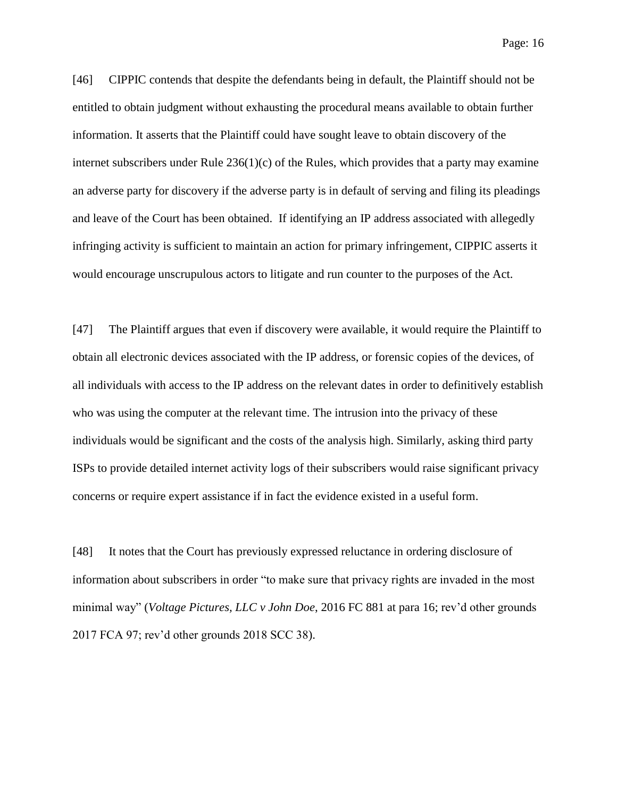Page: 16

[46] CIPPIC contends that despite the defendants being in default, the Plaintiff should not be entitled to obtain judgment without exhausting the procedural means available to obtain further information. It asserts that the Plaintiff could have sought leave to obtain discovery of the internet subscribers under Rule  $236(1)(c)$  of the Rules, which provides that a party may examine an adverse party for discovery if the adverse party is in default of serving and filing its pleadings and leave of the Court has been obtained. If identifying an IP address associated with allegedly infringing activity is sufficient to maintain an action for primary infringement, CIPPIC asserts it would encourage unscrupulous actors to litigate and run counter to the purposes of the Act.

[47] The Plaintiff argues that even if discovery were available, it would require the Plaintiff to obtain all electronic devices associated with the IP address, or forensic copies of the devices, of all individuals with access to the IP address on the relevant dates in order to definitively establish who was using the computer at the relevant time. The intrusion into the privacy of these individuals would be significant and the costs of the analysis high. Similarly, asking third party ISPs to provide detailed internet activity logs of their subscribers would raise significant privacy concerns or require expert assistance if in fact the evidence existed in a useful form.

[48] It notes that the Court has previously expressed reluctance in ordering disclosure of information about subscribers in order "to make sure that privacy rights are invaded in the most minimal way" (*Voltage Pictures, LLC v John Doe*, 2016 FC 881 at para 16; rev'd other grounds 2017 FCA 97; rev'd other grounds 2018 SCC 38).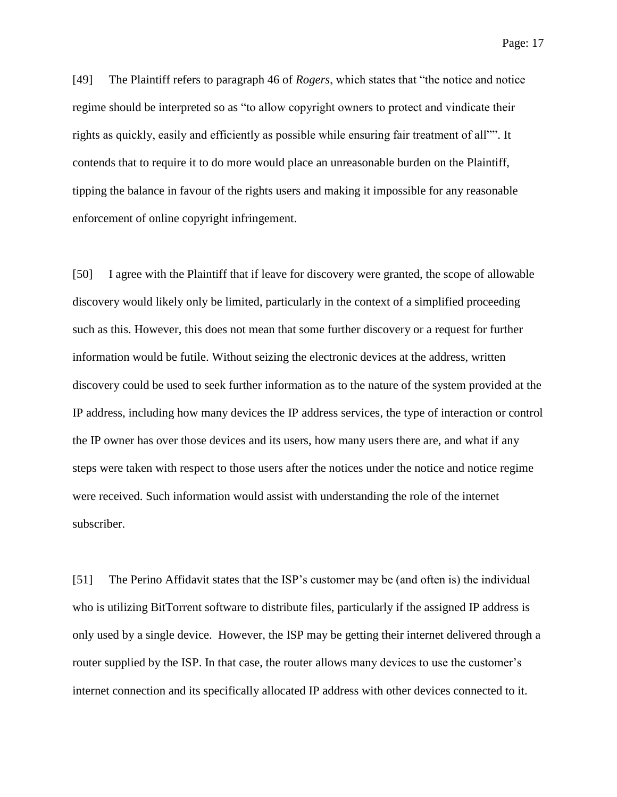[49] The Plaintiff refers to paragraph 46 of *Rogers*, which states that "the notice and notice regime should be interpreted so as "to allow copyright owners to protect and vindicate their rights as quickly, easily and efficiently as possible while ensuring fair treatment of all"". It contends that to require it to do more would place an unreasonable burden on the Plaintiff, tipping the balance in favour of the rights users and making it impossible for any reasonable enforcement of online copyright infringement.

[50] I agree with the Plaintiff that if leave for discovery were granted, the scope of allowable discovery would likely only be limited, particularly in the context of a simplified proceeding such as this. However, this does not mean that some further discovery or a request for further information would be futile. Without seizing the electronic devices at the address, written discovery could be used to seek further information as to the nature of the system provided at the IP address, including how many devices the IP address services, the type of interaction or control the IP owner has over those devices and its users, how many users there are, and what if any steps were taken with respect to those users after the notices under the notice and notice regime were received. Such information would assist with understanding the role of the internet subscriber.

[51] The Perino Affidavit states that the ISP's customer may be (and often is) the individual who is utilizing BitTorrent software to distribute files, particularly if the assigned IP address is only used by a single device. However, the ISP may be getting their internet delivered through a router supplied by the ISP. In that case, the router allows many devices to use the customer's internet connection and its specifically allocated IP address with other devices connected to it.

Page: 17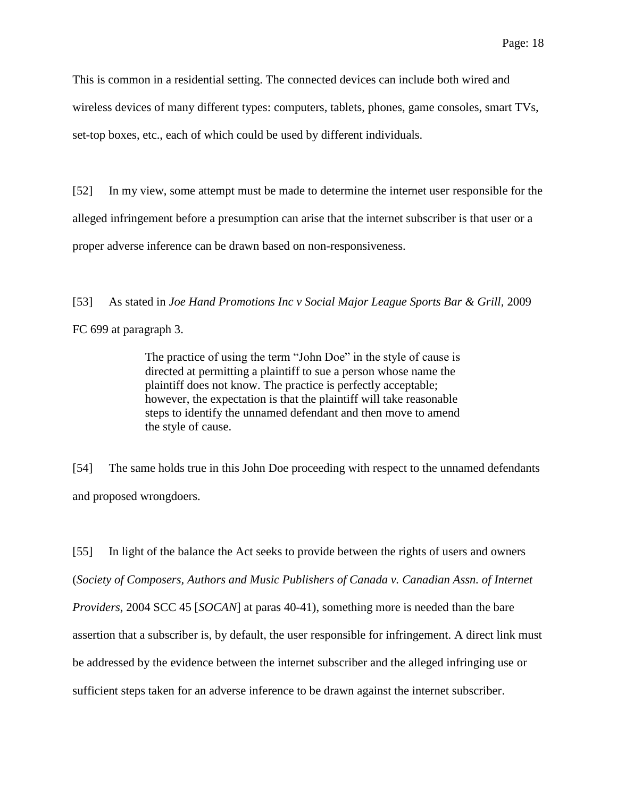This is common in a residential setting. The connected devices can include both wired and wireless devices of many different types: computers, tablets, phones, game consoles, smart TVs, set-top boxes, etc., each of which could be used by different individuals.

[52] In my view, some attempt must be made to determine the internet user responsible for the alleged infringement before a presumption can arise that the internet subscriber is that user or a proper adverse inference can be drawn based on non-responsiveness.

[53] As stated in *Joe Hand Promotions Inc v Social Major League Sports Bar & Grill,* 2009

FC 699 at paragraph 3.

The practice of using the term "John Doe" in the style of cause is directed at permitting a plaintiff to sue a person whose name the plaintiff does not know. The practice is perfectly acceptable; however, the expectation is that the plaintiff will take reasonable steps to identify the unnamed defendant and then move to amend the style of cause.

[54] The same holds true in this John Doe proceeding with respect to the unnamed defendants and proposed wrongdoers.

[55] In light of the balance the Act seeks to provide between the rights of users and owners (*Society of Composers, Authors and Music Publishers of Canada v. Canadian Assn. of Internet Providers*, 2004 SCC 45 [*SOCAN*] at paras 40-41), something more is needed than the bare assertion that a subscriber is, by default, the user responsible for infringement. A direct link must be addressed by the evidence between the internet subscriber and the alleged infringing use or sufficient steps taken for an adverse inference to be drawn against the internet subscriber.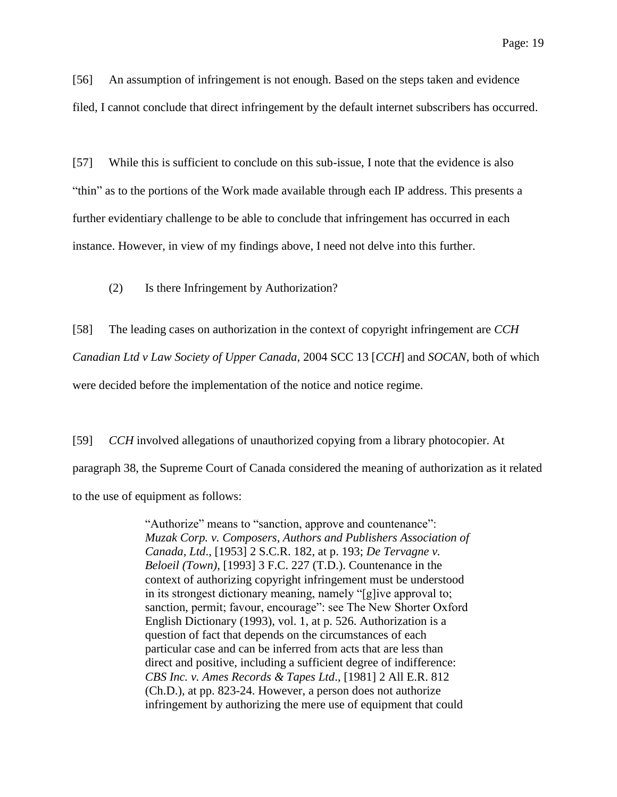[56] An assumption of infringement is not enough. Based on the steps taken and evidence filed, I cannot conclude that direct infringement by the default internet subscribers has occurred.

[57] While this is sufficient to conclude on this sub-issue, I note that the evidence is also "thin" as to the portions of the Work made available through each IP address. This presents a further evidentiary challenge to be able to conclude that infringement has occurred in each instance. However, in view of my findings above, I need not delve into this further.

(2) Is there Infringement by Authorization?

[58] The leading cases on authorization in the context of copyright infringement are *CCH Canadian Ltd v Law Society of Upper Canada*, 2004 SCC 13 [*CCH*] and *SOCAN*, both of which were decided before the implementation of the notice and notice regime.

[59] *CCH* involved allegations of unauthorized copying from a library photocopier. At paragraph 38, the Supreme Court of Canada considered the meaning of authorization as it related to the use of equipment as follows:

> "Authorize" means to "sanction, approve and countenance": *Muzak Corp. v. Composers, Authors and Publishers Association of Canada, Ltd*., [1953] 2 S.C.R. 182, at p. 193; *De Tervagne v. Beloeil (Town)*, [1993] 3 F.C. 227 (T.D.). Countenance in the context of authorizing copyright infringement must be understood in its strongest dictionary meaning, namely "[g]ive approval to; sanction, permit; favour, encourage": see The New Shorter Oxford English Dictionary (1993), vol. 1, at p. 526. Authorization is a question of fact that depends on the circumstances of each particular case and can be inferred from acts that are less than direct and positive, including a sufficient degree of indifference: *CBS Inc. v. Ames Records & Tapes Ltd*., [1981] 2 All E.R. 812 (Ch.D.), at pp. 823-24. However, a person does not authorize infringement by authorizing the mere use of equipment that could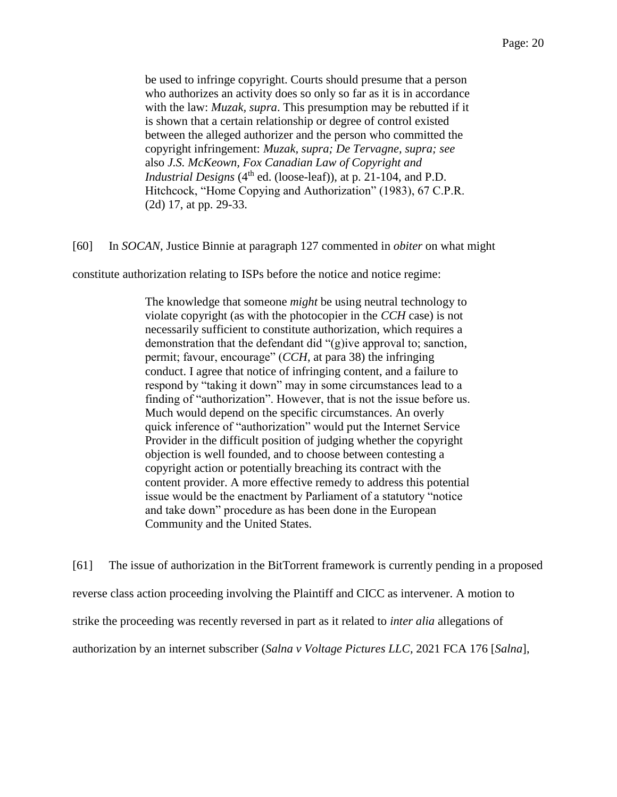be used to infringe copyright. Courts should presume that a person who authorizes an activity does so only so far as it is in accordance with the law: *Muzak, supra*. This presumption may be rebutted if it is shown that a certain relationship or degree of control existed between the alleged authorizer and the person who committed the copyright infringement: *Muzak, supra; De Tervagne, supra; see*  also *J.S. McKeown, Fox Canadian Law of Copyright and Industrial Designs* (4<sup>th</sup> ed. (loose-leaf)), at p. 21-104, and P.D. Hitchcock, "Home Copying and Authorization" (1983), 67 C.P.R. (2d) 17, at pp. 29-33.

[60] In *SOCAN*, Justice Binnie at paragraph 127 commented in *obiter* on what might

constitute authorization relating to ISPs before the notice and notice regime:

The knowledge that someone *might* be using neutral technology to violate copyright (as with the photocopier in the *CCH* case) is not necessarily sufficient to constitute authorization, which requires a demonstration that the defendant did "(g)ive approval to; sanction, permit; favour, encourage" (*CCH*, at para 38) the infringing conduct. I agree that notice of infringing content, and a failure to respond by "taking it down" may in some circumstances lead to a finding of "authorization". However, that is not the issue before us. Much would depend on the specific circumstances. An overly quick inference of "authorization" would put the Internet Service Provider in the difficult position of judging whether the copyright objection is well founded, and to choose between contesting a copyright action or potentially breaching its contract with the content provider. A more effective remedy to address this potential issue would be the enactment by Parliament of a statutory "notice and take down" procedure as has been done in the European Community and the United States.

[61] The issue of authorization in the BitTorrent framework is currently pending in a proposed reverse class action proceeding involving the Plaintiff and CICC as intervener. A motion to strike the proceeding was recently reversed in part as it related to *inter alia* allegations of authorization by an internet subscriber (*Salna v Voltage Pictures LLC,* 2021 FCA 176 [*Salna*],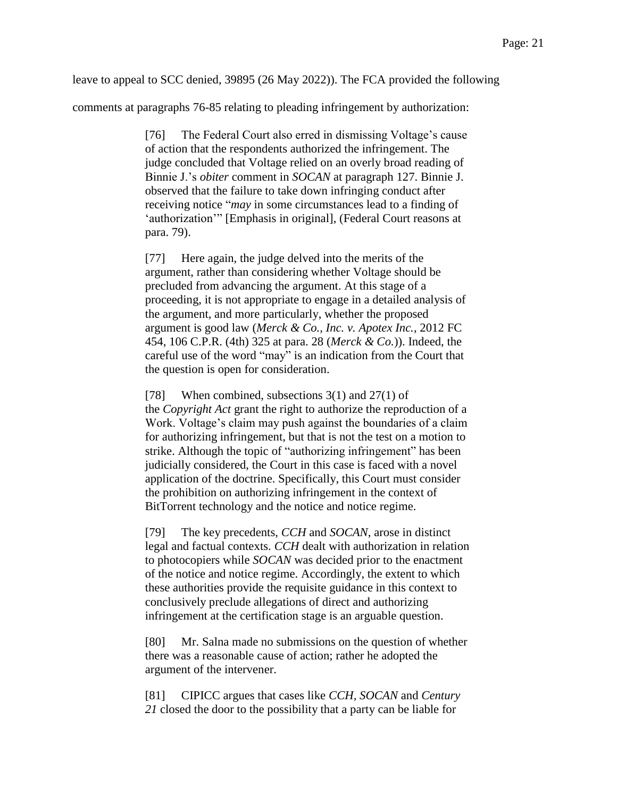leave to appeal to SCC denied, 39895 (26 May 2022)). The FCA provided the following

comments at paragraphs 76-85 relating to pleading infringement by authorization:

[76] The Federal Court also erred in dismissing Voltage's cause of action that the respondents authorized the infringement. The judge concluded that Voltage relied on an overly broad reading of Binnie J.'s *obiter* comment in *SOCAN* at paragraph 127. Binnie J. observed that the failure to take down infringing conduct after receiving notice "*may* in some circumstances lead to a finding of 'authorization'" [Emphasis in original], (Federal Court reasons at para. 79).

[77] Here again, the judge delved into the merits of the argument, rather than considering whether Voltage should be precluded from advancing the argument. At this stage of a proceeding, it is not appropriate to engage in a detailed analysis of the argument, and more particularly, whether the proposed argument is good law (*Merck & Co., Inc. v. Apotex Inc.*, 2012 FC 454, 106 C.P.R. (4th) 325 at para. 28 (*Merck & Co.*)). Indeed, the careful use of the word "may" is an indication from the Court that the question is open for consideration.

[78] When combined, subsections 3(1) and 27(1) of the *Copyright Act* grant the right to authorize the reproduction of a Work. Voltage's claim may push against the boundaries of a claim for authorizing infringement, but that is not the test on a motion to strike. Although the topic of "authorizing infringement" has been judicially considered, the Court in this case is faced with a novel application of the doctrine. Specifically, this Court must consider the prohibition on authorizing infringement in the context of BitTorrent technology and the notice and notice regime.

[79] The key precedents, *CCH* and *SOCAN*, arose in distinct legal and factual contexts. *CCH* dealt with authorization in relation to photocopiers while *SOCAN* was decided prior to the enactment of the notice and notice regime. Accordingly, the extent to which these authorities provide the requisite guidance in this context to conclusively preclude allegations of direct and authorizing infringement at the certification stage is an arguable question.

[80] Mr. Salna made no submissions on the question of whether there was a reasonable cause of action; rather he adopted the argument of the intervener.

[81] CIPICC argues that cases like *CCH, SOCAN* and *Century 21* closed the door to the possibility that a party can be liable for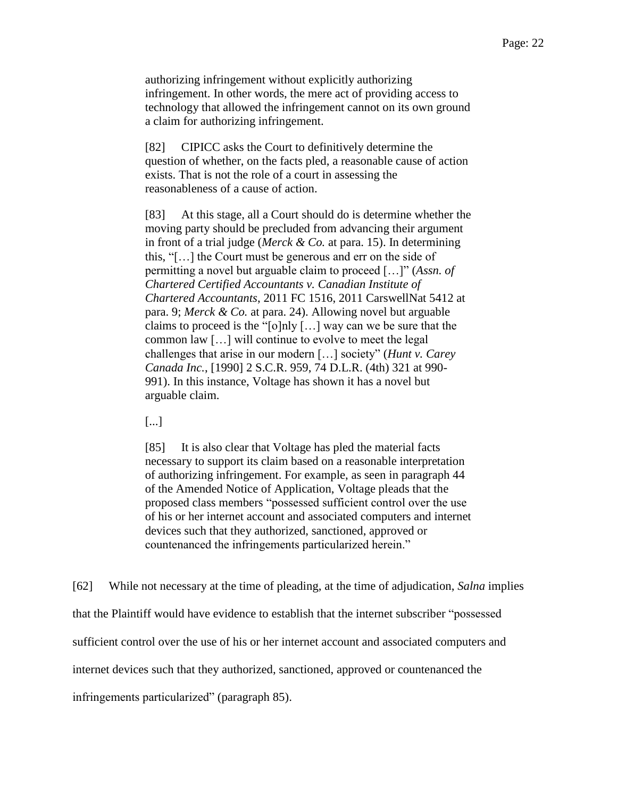authorizing infringement without explicitly authorizing infringement. In other words, the mere act of providing access to technology that allowed the infringement cannot on its own ground a claim for authorizing infringement.

[82] CIPICC asks the Court to definitively determine the question of whether, on the facts pled, a reasonable cause of action exists. That is not the role of a court in assessing the reasonableness of a cause of action.

[83] At this stage, all a Court should do is determine whether the moving party should be precluded from advancing their argument in front of a trial judge (*Merck & Co.* at para. 15). In determining this, "[…] the Court must be generous and err on the side of permitting a novel but arguable claim to proceed […]" (*Assn. of Chartered Certified Accountants v. Canadian Institute of Chartered Accountants*, 2011 FC 1516, 2011 CarswellNat 5412 at para. 9; *Merck & Co.* at para. 24). Allowing novel but arguable claims to proceed is the "[o]nly […] way can we be sure that the common law […] will continue to evolve to meet the legal challenges that arise in our modern […] society" (*Hunt v. Carey Canada Inc.*, [1990] 2 S.C.R. 959, 74 D.L.R. (4th) 321 at 990- 991). In this instance, Voltage has shown it has a novel but arguable claim.

[...]

[85] It is also clear that Voltage has pled the material facts necessary to support its claim based on a reasonable interpretation of authorizing infringement. For example, as seen in paragraph 44 of the Amended Notice of Application, Voltage pleads that the proposed class members "possessed sufficient control over the use of his or her internet account and associated computers and internet devices such that they authorized, sanctioned, approved or countenanced the infringements particularized herein."

[62] While not necessary at the time of pleading, at the time of adjudication, *Salna* implies that the Plaintiff would have evidence to establish that the internet subscriber "possessed sufficient control over the use of his or her internet account and associated computers and internet devices such that they authorized, sanctioned, approved or countenanced the infringements particularized" (paragraph 85).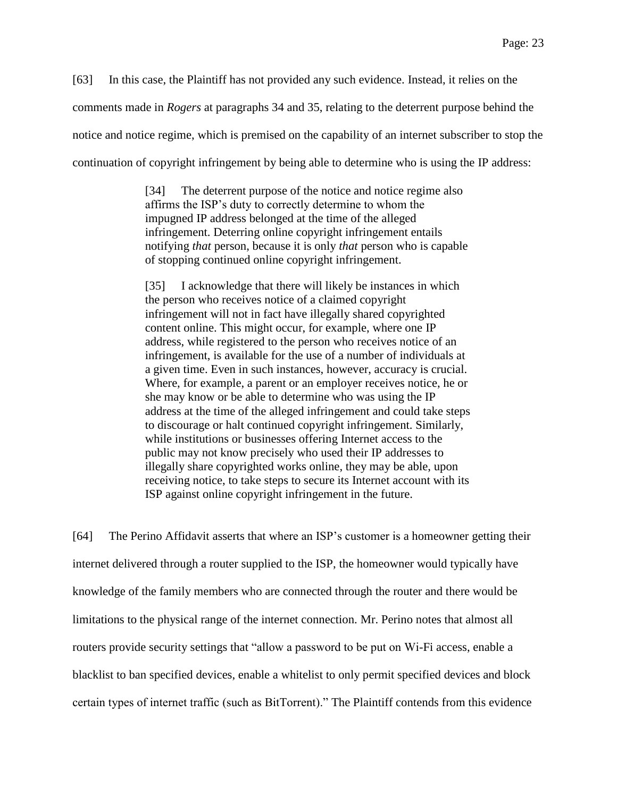[63] In this case, the Plaintiff has not provided any such evidence. Instead, it relies on the comments made in *Rogers* at paragraphs 34 and 35, relating to the deterrent purpose behind the notice and notice regime, which is premised on the capability of an internet subscriber to stop the continuation of copyright infringement by being able to determine who is using the IP address:

> [34] The deterrent purpose of the notice and notice regime also affirms the ISP's duty to correctly determine to whom the impugned IP address belonged at the time of the alleged infringement. Deterring online copyright infringement entails notifying *that* person, because it is only *that* person who is capable of stopping continued online copyright infringement.

> [35] I acknowledge that there will likely be instances in which the person who receives notice of a claimed copyright infringement will not in fact have illegally shared copyrighted content online. This might occur, for example, where one IP address, while registered to the person who receives notice of an infringement, is available for the use of a number of individuals at a given time. Even in such instances, however, accuracy is crucial. Where, for example, a parent or an employer receives notice, he or she may know or be able to determine who was using the IP address at the time of the alleged infringement and could take steps to discourage or halt continued copyright infringement. Similarly, while institutions or businesses offering Internet access to the public may not know precisely who used their IP addresses to illegally share copyrighted works online, they may be able, upon receiving notice, to take steps to secure its Internet account with its ISP against online copyright infringement in the future.

[64] The Perino Affidavit asserts that where an ISP's customer is a homeowner getting their internet delivered through a router supplied to the ISP, the homeowner would typically have knowledge of the family members who are connected through the router and there would be limitations to the physical range of the internet connection. Mr. Perino notes that almost all routers provide security settings that "allow a password to be put on Wi-Fi access, enable a blacklist to ban specified devices, enable a whitelist to only permit specified devices and block certain types of internet traffic (such as BitTorrent)." The Plaintiff contends from this evidence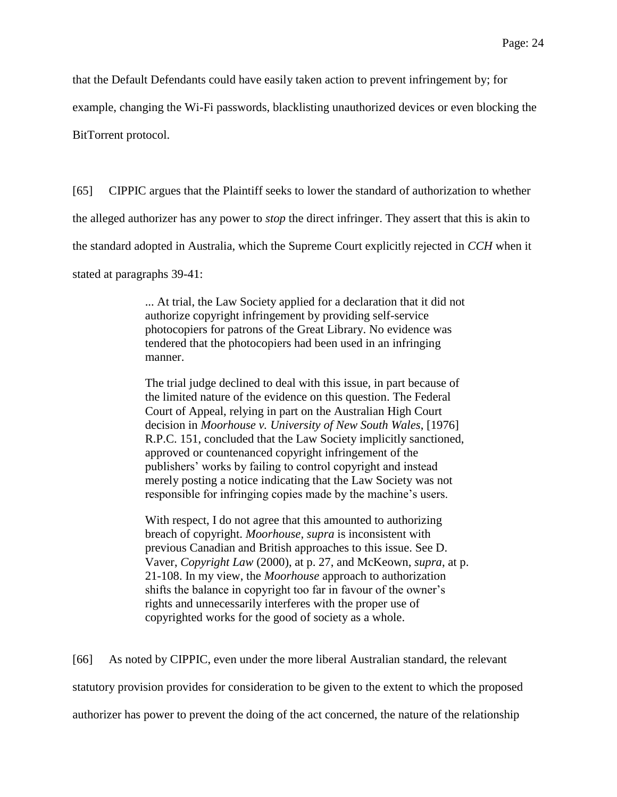that the Default Defendants could have easily taken action to prevent infringement by; for

example, changing the Wi-Fi passwords, blacklisting unauthorized devices or even blocking the

BitTorrent protocol.

[65] CIPPIC argues that the Plaintiff seeks to lower the standard of authorization to whether

the alleged authorizer has any power to *stop* the direct infringer. They assert that this is akin to

the standard adopted in Australia, which the Supreme Court explicitly rejected in *CCH* when it

stated at paragraphs 39-41:

... At trial, the Law Society applied for a declaration that it did not authorize copyright infringement by providing self-service photocopiers for patrons of the Great Library. No evidence was tendered that the photocopiers had been used in an infringing manner.

The trial judge declined to deal with this issue, in part because of the limited nature of the evidence on this question. The Federal Court of Appeal, relying in part on the Australian High Court decision in *Moorhouse v. University of New South Wales*, [1976] R.P.C. 151, concluded that the Law Society implicitly sanctioned, approved or countenanced copyright infringement of the publishers' works by failing to control copyright and instead merely posting a notice indicating that the Law Society was not responsible for infringing copies made by the machine's users.

With respect, I do not agree that this amounted to authorizing breach of copyright. *Moorhouse, supra* is inconsistent with previous Canadian and British approaches to this issue. See D. Vaver, *Copyright Law* (2000), at p. 27, and McKeown, *supra*, at p. 21-108. In my view, the *Moorhouse* approach to authorization shifts the balance in copyright too far in favour of the owner's rights and unnecessarily interferes with the proper use of copyrighted works for the good of society as a whole.

[66] As noted by CIPPIC, even under the more liberal Australian standard, the relevant

statutory provision provides for consideration to be given to the extent to which the proposed

authorizer has power to prevent the doing of the act concerned, the nature of the relationship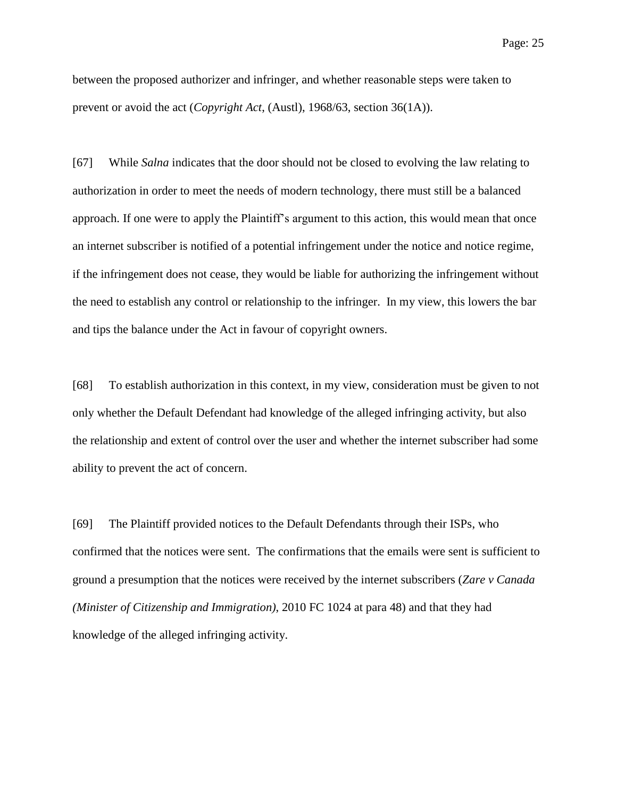between the proposed authorizer and infringer, and whether reasonable steps were taken to prevent or avoid the act (*Copyright Act*, (Austl), 1968/63, section 36(1A)).

[67] While *Salna* indicates that the door should not be closed to evolving the law relating to authorization in order to meet the needs of modern technology, there must still be a balanced approach. If one were to apply the Plaintiff's argument to this action, this would mean that once an internet subscriber is notified of a potential infringement under the notice and notice regime, if the infringement does not cease, they would be liable for authorizing the infringement without the need to establish any control or relationship to the infringer. In my view, this lowers the bar and tips the balance under the Act in favour of copyright owners.

[68] To establish authorization in this context, in my view, consideration must be given to not only whether the Default Defendant had knowledge of the alleged infringing activity, but also the relationship and extent of control over the user and whether the internet subscriber had some ability to prevent the act of concern.

[69] The Plaintiff provided notices to the Default Defendants through their ISPs, who confirmed that the notices were sent. The confirmations that the emails were sent is sufficient to ground a presumption that the notices were received by the internet subscribers (*Zare v Canada (Minister of Citizenship and Immigration)*, 2010 FC 1024 at para 48) and that they had knowledge of the alleged infringing activity.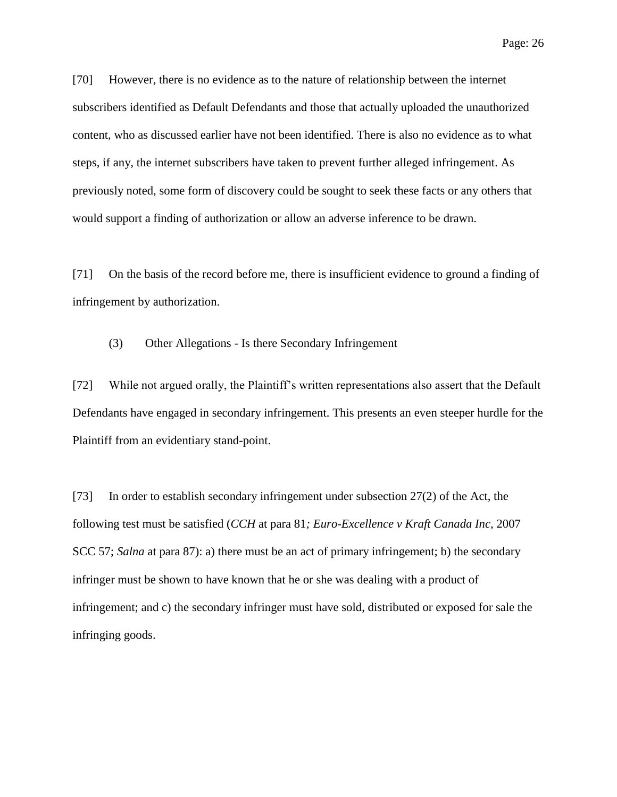[70] However, there is no evidence as to the nature of relationship between the internet subscribers identified as Default Defendants and those that actually uploaded the unauthorized content, who as discussed earlier have not been identified. There is also no evidence as to what steps, if any, the internet subscribers have taken to prevent further alleged infringement. As previously noted, some form of discovery could be sought to seek these facts or any others that would support a finding of authorization or allow an adverse inference to be drawn.

[71] On the basis of the record before me, there is insufficient evidence to ground a finding of infringement by authorization.

#### (3) Other Allegations - Is there Secondary Infringement

[72] While not argued orally, the Plaintiff's written representations also assert that the Default Defendants have engaged in secondary infringement. This presents an even steeper hurdle for the Plaintiff from an evidentiary stand-point.

[73] In order to establish secondary infringement under subsection 27(2) of the Act, the following test must be satisfied (*CCH* at para 81*; Euro-Excellence v Kraft Canada Inc*, 2007 SCC 57; *Salna* at para 87): a) there must be an act of primary infringement; b) the secondary infringer must be shown to have known that he or she was dealing with a product of infringement; and c) the secondary infringer must have sold, distributed or exposed for sale the infringing goods.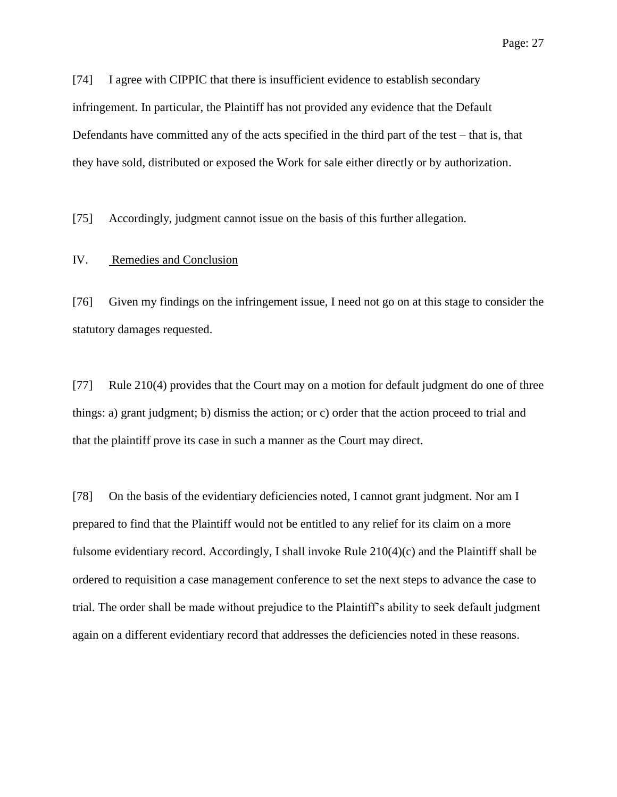[74] I agree with CIPPIC that there is insufficient evidence to establish secondary infringement. In particular, the Plaintiff has not provided any evidence that the Default Defendants have committed any of the acts specified in the third part of the test – that is, that they have sold, distributed or exposed the Work for sale either directly or by authorization.

[75] Accordingly, judgment cannot issue on the basis of this further allegation.

#### IV. Remedies and Conclusion

[76] Given my findings on the infringement issue, I need not go on at this stage to consider the statutory damages requested.

[77] Rule 210(4) provides that the Court may on a motion for default judgment do one of three things: a) grant judgment; b) dismiss the action; or c) order that the action proceed to trial and that the plaintiff prove its case in such a manner as the Court may direct.

[78] On the basis of the evidentiary deficiencies noted, I cannot grant judgment. Nor am I prepared to find that the Plaintiff would not be entitled to any relief for its claim on a more fulsome evidentiary record. Accordingly, I shall invoke Rule 210(4)(c) and the Plaintiff shall be ordered to requisition a case management conference to set the next steps to advance the case to trial. The order shall be made without prejudice to the Plaintiff's ability to seek default judgment again on a different evidentiary record that addresses the deficiencies noted in these reasons.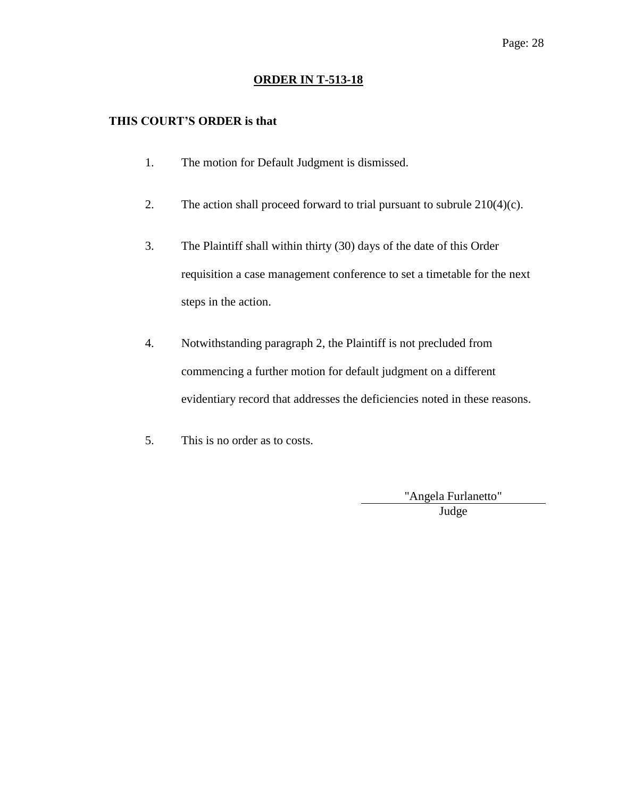### **ORDER IN T-513-18**

### **THIS COURT'S ORDER is that**

- 1. The motion for Default Judgment is dismissed.
- 2. The action shall proceed forward to trial pursuant to subrule  $210(4)(c)$ .
- 3. The Plaintiff shall within thirty (30) days of the date of this Order requisition a case management conference to set a timetable for the next steps in the action.
- 4. Notwithstanding paragraph 2, the Plaintiff is not precluded from commencing a further motion for default judgment on a different evidentiary record that addresses the deficiencies noted in these reasons.
- 5. This is no order as to costs.

"Angela Furlanetto" Judge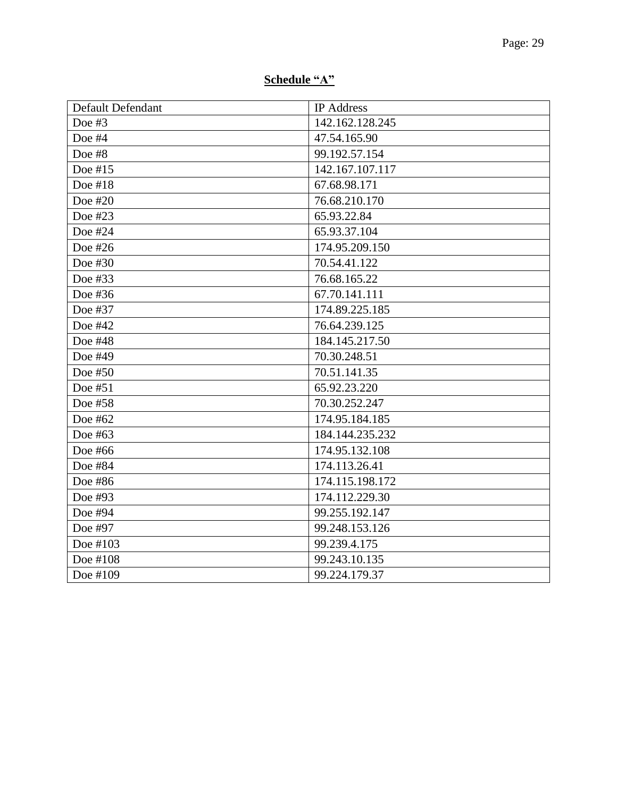# **Schedule "A"**

| Default Defendant | <b>IP</b> Address |
|-------------------|-------------------|
| Doe #3            | 142.162.128.245   |
| Doe #4            | 47.54.165.90      |
| Doe #8            | 99.192.57.154     |
| Doe #15           | 142.167.107.117   |
| Doe #18           | 67.68.98.171      |
| Doe #20           | 76.68.210.170     |
| Doe #23           | 65.93.22.84       |
| Doe #24           | 65.93.37.104      |
| Doe #26           | 174.95.209.150    |
| Doe #30           | 70.54.41.122      |
| Doe #33           | 76.68.165.22      |
| Doe #36           | 67.70.141.111     |
| Doe #37           | 174.89.225.185    |
| Doe #42           | 76.64.239.125     |
| Doe #48           | 184.145.217.50    |
| Doe #49           | 70.30.248.51      |
| Doe #50           | 70.51.141.35      |
| Doe #51           | 65.92.23.220      |
| Doe #58           | 70.30.252.247     |
| Doe #62           | 174.95.184.185    |
| Doe #63           | 184.144.235.232   |
| Doe #66           | 174.95.132.108    |
| Doe #84           | 174.113.26.41     |
| Doe #86           | 174.115.198.172   |
| Doe #93           | 174.112.229.30    |
| Doe #94           | 99.255.192.147    |
| Doe #97           | 99.248.153.126    |
| Doe #103          | 99.239.4.175      |
| Doe #108          | 99.243.10.135     |
| Doe #109          | 99.224.179.37     |